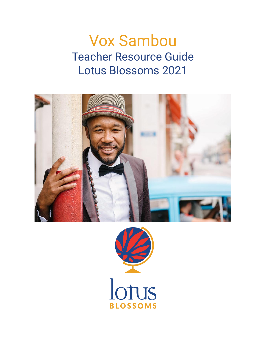# Vox Sambou Teacher Resource Guide Lotus Blossoms 2021



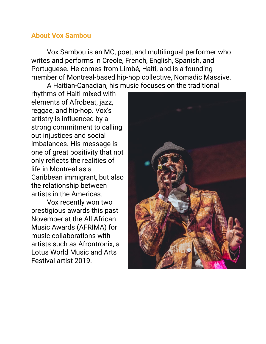# **About Vox Sambou**

Vox Sambou is an MC, poet, and multilingual performer who writes and performs in Creole, French, English, Spanish, and Portuguese. He comes from Limbé, Haiti, and is a founding member of Montreal-based hip-hop collective, Nomadic Massive.

A Haitian-Canadian, his music focuses on the traditional

rhythms of Haiti mixed with elements of Afrobeat, jazz, reggae, and hip-hop. Vox's artistry is influenced by a strong commitment to calling out injustices and social imbalances. His message is one of great positivity that not only reflects the realities of life in Montreal as a Caribbean immigrant, but also the relationship between artists in the Americas.

Vox recently won two prestigious awards this past November at the All African Music Awards (AFRIMA) for music collaborations with artists such as Afrontronix, a Lotus World Music and Arts Festival artist 2019.

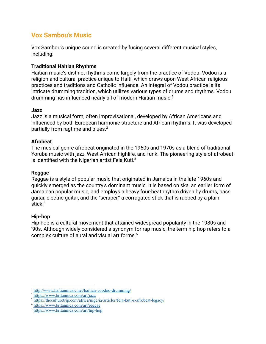## **Vox Sambou's Music**

Vox Sambou's unique sound is created by fusing several different musical styles, including:

#### **Traditional Haitian Rhythms**

Haitian music's distinct rhythms come largely from the practice of Vodou. Vodou is a religion and cultural practice unique to Haiti, which draws upon West African religious practices and traditions and Catholic influence. An integral of Vodou practice is its intricate drumming tradition, which utilizes various types of drums and rhythms. Vodou drumming has influenced nearly all of modern Haitian music.<sup>1</sup>

#### **Jazz**

Jazz is a musical form, often improvisational, developed by African Americans and influenced by both European harmonic structure and African rhythms. It was developed partially from ragtime and blues.<sup>2</sup>

#### **Afrobeat**

The musical genre afrobeat originated in the 1960s and 1970s as a blend of traditional Yoruba music with jazz, West African highlife, and funk. The pioneering style of afrobeat is identified with the Nigerian artist Fela Kuti. $3$ 

#### **Reggae**

Reggae is a style of popular music that originated in Jamaica in the late 1960s and quickly emerged as the country's dominant music. It is based on ska, an earlier form of Jamaican popular music, and employs a heavy four-beat rhythm driven by drums, bass guitar, electric guitar, and the "scraper," a corrugated stick that is rubbed by a plain stick.<sup>4</sup>

#### **Hip-hop**

Hip-hop is a cultural movement that attained widespread popularity in the 1980s and '90s. Although widely considered a synonym for rap music, the term hip-hop refers to a complex culture of aural and visual art forms.<sup>5</sup>

<sup>1</sup> <http://www.haitianmusic.net/haitian-voodoo-drumming/>

<sup>2</sup> <https://www.britannica.com/art/jazz>

<sup>3</sup> <https://theculturetrip.com/africa/nigeria/articles/fela-kuti-s-afrobeat-legacy/>

<sup>4</sup> <https://www.britannica.com/art/reggae>

<sup>5</sup> <https://www.britannica.com/art/hip-hop>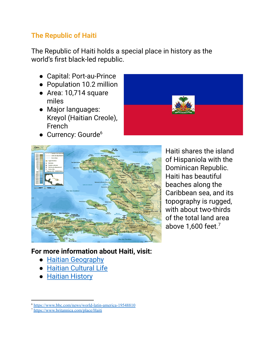# **The Republic of Haiti**

The Republic of Haiti holds a special place in history as the world's first black-led republic.

- Capital: Port-au-Prince
- Population 10.2 million
- Area: 10,714 square miles
- Major languages: Kreyol (Haitian Creole), French
- Currency: Gourde<sup>6</sup>





Haiti shares the island of Hispaniola with the Dominican Republic. Haiti has beautiful beaches along the Caribbean sea, and its topography is rugged, with about two-thirds of the total land area above  $1,600$  feet.<sup>7</sup>

# **For more information about Haiti, visit:**

- Haitian [Geography](https://www.britannica.com/place/Haiti#ref54456)
- Haitian [Cultural](https://www.britannica.com/place/Haiti/Housing#ref54476) Life
- [Haitian](https://www.britannica.com/place/Haiti/Housing#ref217447) History

<sup>6</sup> <https://www.bbc.com/news/world-latin-america-19548810>

<sup>7</sup> <https://www.britannica.com/place/Haiti>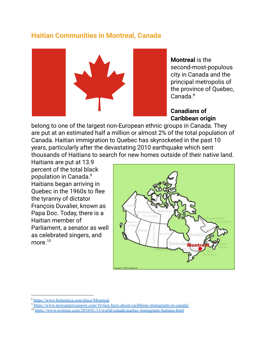# **Haitian Communities in Montreal, Canada**



**Montreal** is the second-most-populous city in Canada and the principal metropolis of the province of Quebec, Canada. 8

### **Canadians of Caribbean origin**

belong to one of the largest non-European ethnic groups in Canada. They are put at an estimated half a million or almost 2% of the total population of Canada. Haitian immigration to Quebec has skyrocketed in the past 10 years, particularly after the devastating 2010 earthquake which sent thousands of Haitians to search for new homes outside of their native land.

Haitians are put at 13.9 percent of the total black population in Canada. 9 Haitians began arriving in Quebec in the 1960s to flee the tyranny of dictator François Duvalier, known as Papa Doc. Today, there is a Haitian member of Parliament, a senator as well as celebrated singers, and more. 10



<sup>8</sup> <https://www.britannica.com/place/Montreal>

<sup>9</sup> <https://www.newsamericasnow.com/10-fast-facts-about-caribbean-immigrants-in-canada/>

<sup>10</sup> <https://www.nytimes.com/2018/01/13/world/canada/quebec-immigrants-haitians.html>